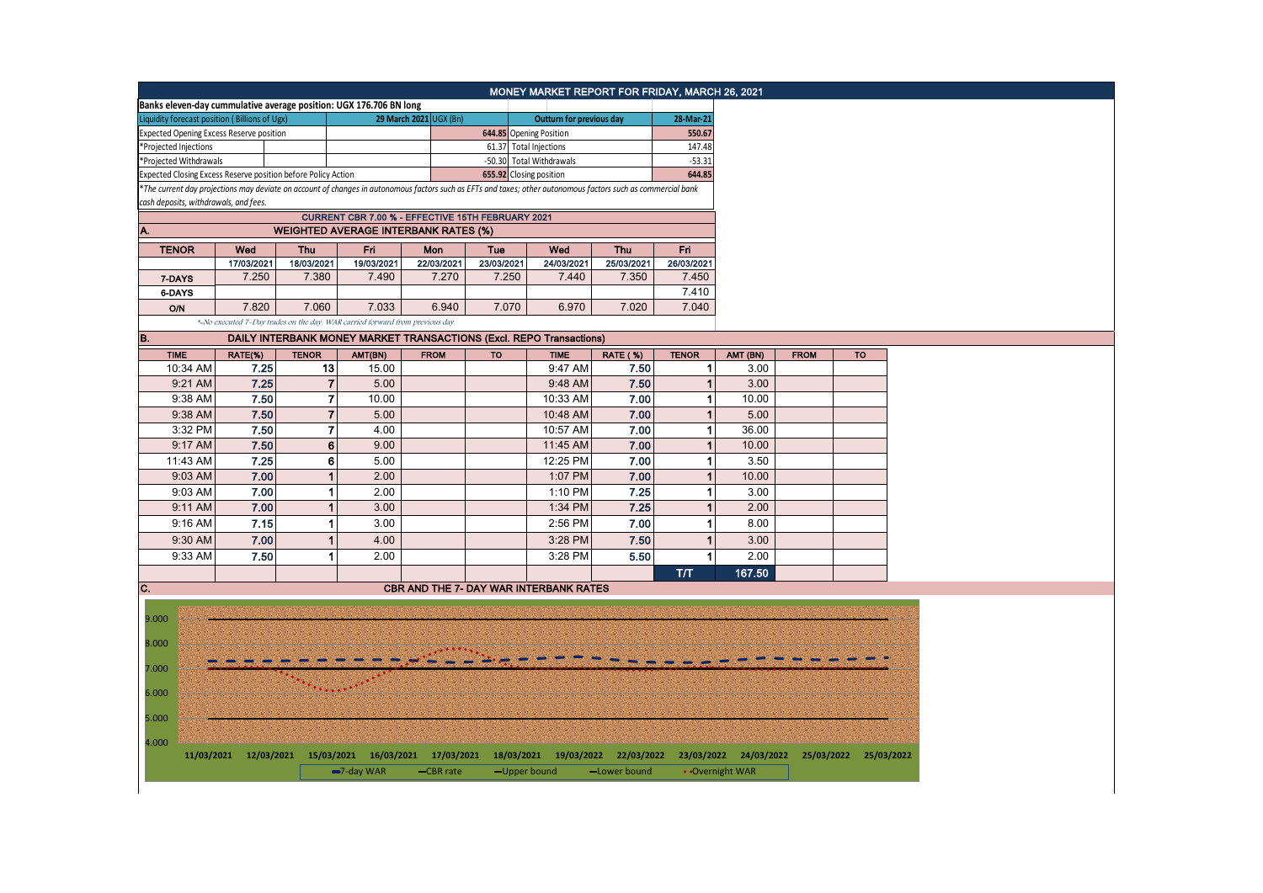|                                                                                                                                                               |                                                                     |                      |                                                                                                                                     |             |                         |                                               | MONEY MARKET REPORT FOR FRIDAY, MARCH 26, 2021 |                |                  |             |           |
|---------------------------------------------------------------------------------------------------------------------------------------------------------------|---------------------------------------------------------------------|----------------------|-------------------------------------------------------------------------------------------------------------------------------------|-------------|-------------------------|-----------------------------------------------|------------------------------------------------|----------------|------------------|-------------|-----------|
|                                                                                                                                                               |                                                                     |                      |                                                                                                                                     |             |                         |                                               |                                                |                |                  |             |           |
| Banks eleven-day cummulative average position: UGX 176.706 BN long<br>Liquidity forecast position (Billions of Ugx)<br>29 March 2021 UGX (Bn)                 |                                                                     |                      |                                                                                                                                     |             |                         | Outturn for previous day                      |                                                | 28-Mar-21      |                  |             |           |
| <b>Expected Opening Excess Reserve position</b>                                                                                                               |                                                                     |                      | 644.85 Opening Position                                                                                                             |             |                         |                                               | 550.67                                         |                |                  |             |           |
| *Projected Injections                                                                                                                                         |                                                                     |                      |                                                                                                                                     |             | 61.37 Total Injections  |                                               |                                                | 147.48         |                  |             |           |
| *Projected Withdrawals                                                                                                                                        |                                                                     |                      | -50.30 Total Withdrawals                                                                                                            |             | $-53.31$                |                                               |                                                |                |                  |             |           |
| Expected Closing Excess Reserve position before Policy Action                                                                                                 |                                                                     |                      |                                                                                                                                     |             | 655.92 Closing position |                                               |                                                | 644.85         |                  |             |           |
| *The current day projections may deviate on account of changes in autonomous factors such as EFTs and taxes; other autonomous factors such as commercial bank |                                                                     |                      |                                                                                                                                     |             |                         |                                               |                                                |                |                  |             |           |
| cash deposits, withdrawals, and fees.                                                                                                                         |                                                                     |                      |                                                                                                                                     |             |                         |                                               |                                                |                |                  |             |           |
|                                                                                                                                                               |                                                                     |                      |                                                                                                                                     |             |                         |                                               |                                                |                |                  |             |           |
| A.                                                                                                                                                            |                                                                     |                      |                                                                                                                                     |             |                         |                                               |                                                |                |                  |             |           |
| <b>TENOR</b>                                                                                                                                                  | Wed                                                                 | Thu                  | Fri                                                                                                                                 | Mon         | Tue                     | Wed                                           | <b>Thu</b>                                     | Fri            |                  |             |           |
|                                                                                                                                                               | 17/03/2021                                                          | 18/03/2021           | 19/03/2021                                                                                                                          | 22/03/2021  | 23/03/2021              | 24/03/2021                                    | 25/03/2021                                     | 26/03/2021     |                  |             |           |
| 7-DAYS                                                                                                                                                        | 7.250                                                               | 7.380                | 7.490                                                                                                                               | 7.270       | 7.250                   | 7.440                                         | 7.350                                          | 7.450          |                  |             |           |
| 6-DAYS                                                                                                                                                        |                                                                     |                      |                                                                                                                                     |             |                         |                                               |                                                | 7.410          |                  |             |           |
| <b>O/N</b>                                                                                                                                                    | 7.820                                                               | 7.060                | 7.033                                                                                                                               | 6.940       | 7.070                   | 6.970                                         | 7.020                                          | 7.040          |                  |             |           |
|                                                                                                                                                               |                                                                     |                      | *-No executed 7-Day trades on the day. WAR carried forward from previous day.                                                       |             |                         |                                               |                                                |                |                  |             |           |
|                                                                                                                                                               | DAILY INTERBANK MONEY MARKET TRANSACTIONS (Excl. REPO Transactions) |                      |                                                                                                                                     |             |                         |                                               |                                                |                |                  |             |           |
| B.<br><b>TIME</b>                                                                                                                                             | RATE(%)                                                             | <b>TENOR</b>         |                                                                                                                                     | <b>FROM</b> | <b>TO</b>               | <b>TIME</b>                                   | <b>RATE (%)</b>                                | <b>TENOR</b>   |                  | <b>FROM</b> | <b>TO</b> |
| 10:34 AM                                                                                                                                                      | 7.25                                                                | 13                   | AMT(BN)<br>15.00                                                                                                                    |             |                         | 9:47 AM                                       | 7.50                                           | $\mathbf{1}$   | AMT (BN)<br>3.00 |             |           |
|                                                                                                                                                               |                                                                     |                      |                                                                                                                                     |             |                         |                                               | 7.50                                           |                |                  |             |           |
| 9:21 AM                                                                                                                                                       | 7.25                                                                | $\overline{7}$       | 5.00                                                                                                                                |             |                         | 9:48 AM                                       |                                                | $\mathbf{1}$   | 3.00             |             |           |
| 9:38 AM                                                                                                                                                       | 7.50                                                                | $\boldsymbol{7}$     | 10.00                                                                                                                               |             |                         | 10:33 AM                                      | 7.00                                           | $\mathbf{1}$   | 10.00            |             |           |
| 9:38 AM                                                                                                                                                       | 7.50                                                                | $\mathbf{7}$         | 5.00                                                                                                                                |             |                         | 10:48 AM                                      | 7.00                                           | 1              | 5.00             |             |           |
| 3:32 PM                                                                                                                                                       | 7.50                                                                | $\mathbf{7}$         | 4.00                                                                                                                                |             |                         | 10:57 AM                                      | 7.00                                           | $\mathbf{1}$   | 36.00            |             |           |
| 9:17 AM                                                                                                                                                       | 7.50                                                                | 6                    | 9.00                                                                                                                                |             |                         | 11:45 AM                                      | 7.00                                           | $\mathbf{1}$   | 10.00            |             |           |
| 11:43 AM                                                                                                                                                      | 7.25                                                                | 6 <sup>1</sup>       | 5.00                                                                                                                                |             |                         | 12:25 PM                                      | 7.00                                           | $\mathbf{1}$   | 3.50             |             |           |
| 9:03 AM                                                                                                                                                       | 7.00                                                                | $\mathbf{1}$         | 2.00                                                                                                                                |             |                         | 1:07 PM                                       | 7.00                                           | $\vert$        | 10.00            |             |           |
| 9:03 AM                                                                                                                                                       | 7.00                                                                | $\mathbf{1}$         | 2.00                                                                                                                                |             |                         | 1:10 PM                                       | 7.25                                           | $\vert$ 1      | 3.00             |             |           |
| 9:11 AM                                                                                                                                                       | 7.00                                                                | $\mathbf{1}$         | 3.00                                                                                                                                |             |                         | 1:34 PM                                       | 7.25                                           | $\overline{1}$ | 2.00             |             |           |
| 9:16 AM                                                                                                                                                       | 7.15                                                                | 1                    | 3.00                                                                                                                                |             |                         | 2:56 PM                                       | 7.00                                           | $\mathbf{1}$   | 8.00             |             |           |
| 9:30 AM                                                                                                                                                       | 7.00                                                                | $\blacktriangleleft$ | 4.00                                                                                                                                |             |                         | 3:28 PM                                       | 7.50                                           | $\vert$        | 3.00             |             |           |
|                                                                                                                                                               |                                                                     |                      |                                                                                                                                     |             |                         |                                               |                                                |                |                  |             |           |
| 9:33 AM                                                                                                                                                       | 7.50                                                                | 1                    | 2.00                                                                                                                                |             |                         | 3:28 PM                                       | 5.50                                           | $\overline{1}$ | 2.00             |             |           |
|                                                                                                                                                               |                                                                     |                      |                                                                                                                                     |             |                         |                                               |                                                | <b>T/T</b>     | 167.50           |             |           |
| C.                                                                                                                                                            |                                                                     |                      |                                                                                                                                     |             |                         | <b>CBR AND THE 7- DAY WAR INTERBANK RATES</b> |                                                |                |                  |             |           |
|                                                                                                                                                               |                                                                     |                      |                                                                                                                                     |             |                         |                                               |                                                |                |                  |             |           |
| 9.000                                                                                                                                                         |                                                                     |                      |                                                                                                                                     |             |                         |                                               |                                                |                |                  |             |           |
|                                                                                                                                                               |                                                                     |                      |                                                                                                                                     |             |                         |                                               |                                                |                |                  |             |           |
| 8.000                                                                                                                                                         |                                                                     |                      |                                                                                                                                     |             |                         |                                               |                                                |                |                  |             |           |
| 7.000                                                                                                                                                         |                                                                     |                      |                                                                                                                                     |             |                         |                                               |                                                |                |                  |             |           |
|                                                                                                                                                               |                                                                     |                      |                                                                                                                                     |             |                         |                                               |                                                |                |                  |             |           |
| 6.000                                                                                                                                                         |                                                                     |                      |                                                                                                                                     |             |                         |                                               |                                                |                |                  |             |           |
|                                                                                                                                                               |                                                                     |                      |                                                                                                                                     |             |                         |                                               |                                                |                |                  |             |           |
| 5.000                                                                                                                                                         |                                                                     |                      |                                                                                                                                     |             |                         |                                               |                                                |                |                  |             |           |
|                                                                                                                                                               |                                                                     |                      |                                                                                                                                     |             |                         |                                               |                                                |                |                  |             |           |
| 4.000                                                                                                                                                         |                                                                     |                      |                                                                                                                                     |             |                         |                                               |                                                |                |                  |             |           |
|                                                                                                                                                               |                                                                     |                      | 11/03/2021 12/03/2021 15/03/2021 16/03/2021 17/03/2021 18/03/2021 19/03/2022 22/03/2022 23/03/2022 24/03/2022 25/03/2022 25/03/2022 |             |                         |                                               |                                                |                |                  |             |           |
|                                                                                                                                                               |                                                                     |                      | -7-day WAR                                                                                                                          | -CBR rate   | -Upper bound            |                                               | -Lower bound                                   |                | • Overnight WAR  |             |           |
|                                                                                                                                                               |                                                                     |                      |                                                                                                                                     |             |                         |                                               |                                                |                |                  |             |           |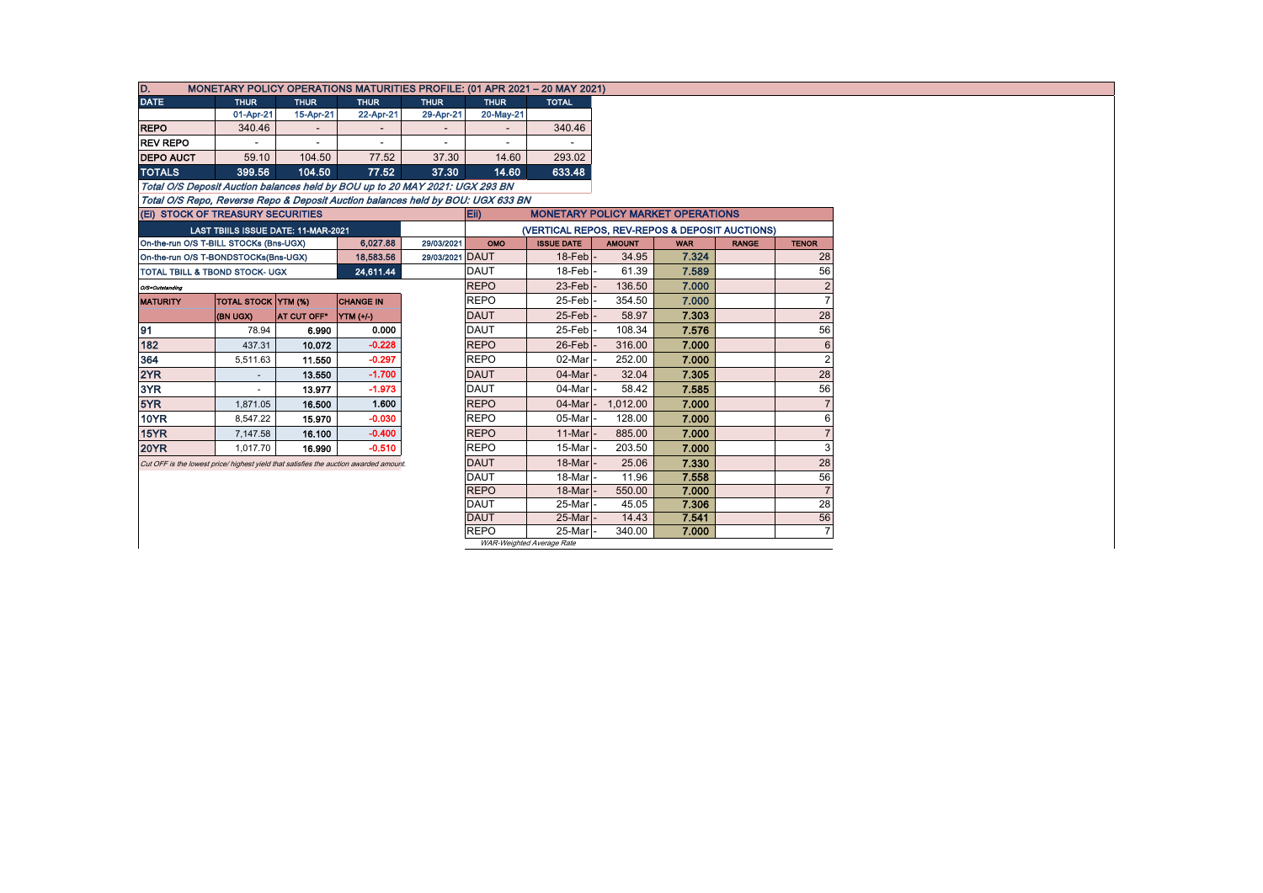| D.<br>MONETARY POLICY OPERATIONS MATURITIES PROFILE: (01 APR 2021 - 20 MAY 2021)      |                                     |             |                  |                 |             |                                                |               |            |              |                |  |  |  |  |
|---------------------------------------------------------------------------------------|-------------------------------------|-------------|------------------|-----------------|-------------|------------------------------------------------|---------------|------------|--------------|----------------|--|--|--|--|
| <b>DATE</b>                                                                           | <b>THUR</b>                         | <b>THUR</b> | <b>THUR</b>      | <b>THUR</b>     | <b>THUR</b> | <b>TOTAL</b>                                   |               |            |              |                |  |  |  |  |
|                                                                                       | 01-Apr-21                           | 15-Apr-21   | 22-Apr-21        | 29-Apr-21       | 20-May-21   |                                                |               |            |              |                |  |  |  |  |
| <b>REPO</b>                                                                           | 340.46                              |             |                  |                 |             | 340.46                                         |               |            |              |                |  |  |  |  |
| <b>REV REPO</b>                                                                       |                                     |             |                  |                 |             |                                                |               |            |              |                |  |  |  |  |
| <b>DEPO AUCT</b>                                                                      | 59.10                               | 104.50      | 77.52            | 37.30           | 14.60       | 293.02                                         |               |            |              |                |  |  |  |  |
| <b>TOTALS</b>                                                                         | 399.56                              | 104.50      | 77.52            | 37.30           | 14.60       | 633.48                                         |               |            |              |                |  |  |  |  |
| Total O/S Deposit Auction balances held by BOU up to 20 MAY 2021: UGX 293 BN          |                                     |             |                  |                 |             |                                                |               |            |              |                |  |  |  |  |
| Total O/S Repo, Reverse Repo & Deposit Auction balances held by BOU: UGX 633 BN       |                                     |             |                  |                 |             |                                                |               |            |              |                |  |  |  |  |
| (Ei) STOCK OF TREASURY SECURITIES                                                     |                                     |             |                  |                 | Eii)        | <b>MONETARY POLICY MARKET OPERATIONS</b>       |               |            |              |                |  |  |  |  |
|                                                                                       | LAST TBIILS ISSUE DATE: 11-MAR-2021 |             |                  |                 |             | (VERTICAL REPOS, REV-REPOS & DEPOSIT AUCTIONS) |               |            |              |                |  |  |  |  |
| On-the-run O/S T-BILL STOCKs (Bns-UGX)                                                |                                     |             | 6,027.88         | 29/03/2021      | OMO         | <b>ISSUE DATE</b>                              | <b>AMOUNT</b> | <b>WAR</b> | <b>RANGE</b> | <b>TENOR</b>   |  |  |  |  |
| On-the-run O/S T-BONDSTOCKs(Bns-UGX)                                                  |                                     |             | 18,583.56        | 29/03/2021 DAUT |             | $18$ -Feb $\vert$ -                            | 34.95         | 7.324      |              | 28             |  |  |  |  |
| <b>TOTAL TBILL &amp; TBOND STOCK- UGX</b>                                             |                                     |             | 24,611.44        |                 | <b>DAUT</b> | 18-Febl                                        | 61.39         | 7.589      |              | 56             |  |  |  |  |
| O/S=Outstanding                                                                       |                                     |             |                  |                 | <b>REPO</b> | $23$ -Feb                                      | 136.50        | 7.000      |              | $\overline{2}$ |  |  |  |  |
| <b>MATURITY</b>                                                                       | <b>TOTAL STOCK YTM (%)</b>          |             | <b>CHANGE IN</b> |                 | <b>REPO</b> | 25-Feb                                         | 354.50        | 7.000      |              | $\overline{7}$ |  |  |  |  |
|                                                                                       | (BN UGX)                            | AT CUT OFF* | <b>YTM</b> (+/-) |                 | <b>DAUT</b> | 25-Feb                                         | 58.97         | 7.303      |              | 28             |  |  |  |  |
| 91                                                                                    | 78.94                               | 6.990       | 0.000            |                 | <b>DAUT</b> | $25$ -Feb                                      | 108.34        | 7.576      |              | 56             |  |  |  |  |
| 182                                                                                   | 437.31                              | 10.072      | $-0.228$         |                 | <b>REPO</b> | 26-Feb                                         | 316.00        | 7.000      |              | 6              |  |  |  |  |
| 364                                                                                   | 5,511.63                            | 11.550      | $-0.297$         |                 | <b>REPO</b> | 02-Mar                                         | 252.00        | 7.000      |              | $\overline{2}$ |  |  |  |  |
| 2YR                                                                                   |                                     | 13.550      | $-1.700$         |                 | <b>DAUT</b> | 04-Mar                                         | 32.04         | 7.305      |              | 28             |  |  |  |  |
| 3YR                                                                                   |                                     | 13.977      | $-1.973$         |                 | <b>DAUT</b> | 04-Mar                                         | 58.42         | 7.585      |              | 56             |  |  |  |  |
| 5YR                                                                                   | 1,871.05                            | 16.500      | 1.600            |                 | <b>REPO</b> | 04-Mar                                         | 1,012.00      | 7.000      |              |                |  |  |  |  |
| <b>10YR</b>                                                                           | 8,547.22                            | 15.970      | $-0.030$         |                 | <b>REPO</b> | 05-Mar                                         | 128.00        | 7.000      |              | 6              |  |  |  |  |
| 15YR                                                                                  | 7,147.58                            | 16.100      | $-0.400$         |                 | <b>REPO</b> | 11-Mar                                         | 885.00        | 7.000      |              |                |  |  |  |  |
| <b>20YR</b>                                                                           | 1.017.70                            | 16.990      | $-0.510$         |                 | <b>REPO</b> | 15-Mar                                         | 203.50        | 7.000      |              | 3              |  |  |  |  |
| Cut OFF is the lowest price/ highest yield that satisfies the auction awarded amount. |                                     |             |                  |                 | <b>DAUT</b> | 18-Mar                                         | 25.06         | 7.330      |              | 28             |  |  |  |  |
|                                                                                       | <b>DAUT</b>                         | 18-Mar      | 11.96            | 7.558           |             | 56                                             |               |            |              |                |  |  |  |  |
|                                                                                       |                                     |             |                  |                 | <b>REPO</b> | 18-Mar                                         | 550.00        | 7.000      |              | $\overline{7}$ |  |  |  |  |
|                                                                                       |                                     |             |                  |                 | <b>DAUT</b> | 25-Mar                                         | 45.05         | 7.306      |              | 28             |  |  |  |  |
|                                                                                       |                                     |             |                  |                 | <b>DAUT</b> | 25-Mar                                         | 14.43         | 7.541      |              | 56             |  |  |  |  |
|                                                                                       |                                     |             |                  |                 | <b>REPO</b> | 25-Marl                                        | 340.00        | 7.000      |              | $\overline{7}$ |  |  |  |  |
|                                                                                       | WAR-Weighted Average Rate           |             |                  |                 |             |                                                |               |            |              |                |  |  |  |  |